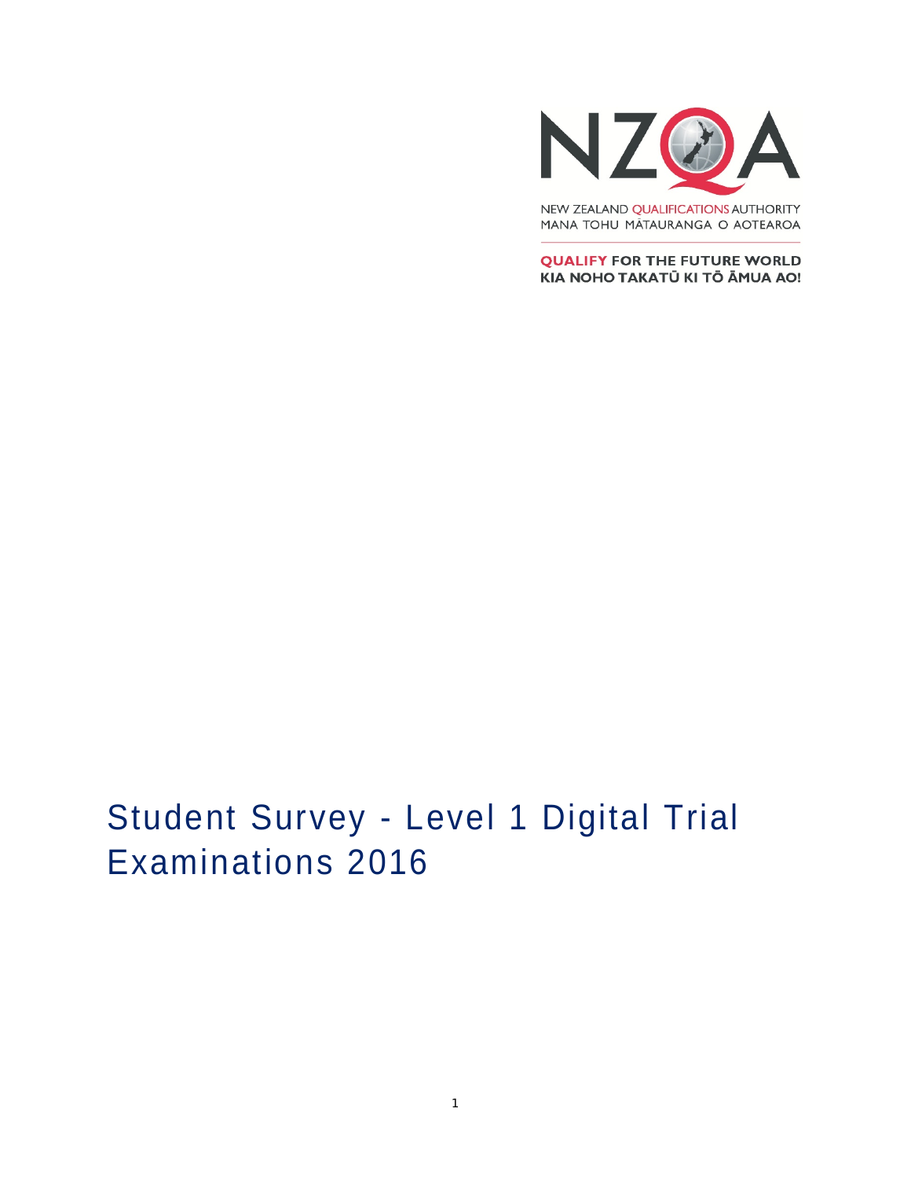

MANA TOHU MĀTAURANGA O AOTEAROA

**QUALIFY FOR THE FUTURE WORLD** KIA NOHO TAKATŪ KI TŌ ĀMUA AO!

# Student Survey - Level 1 Digital Trial Examinations 2016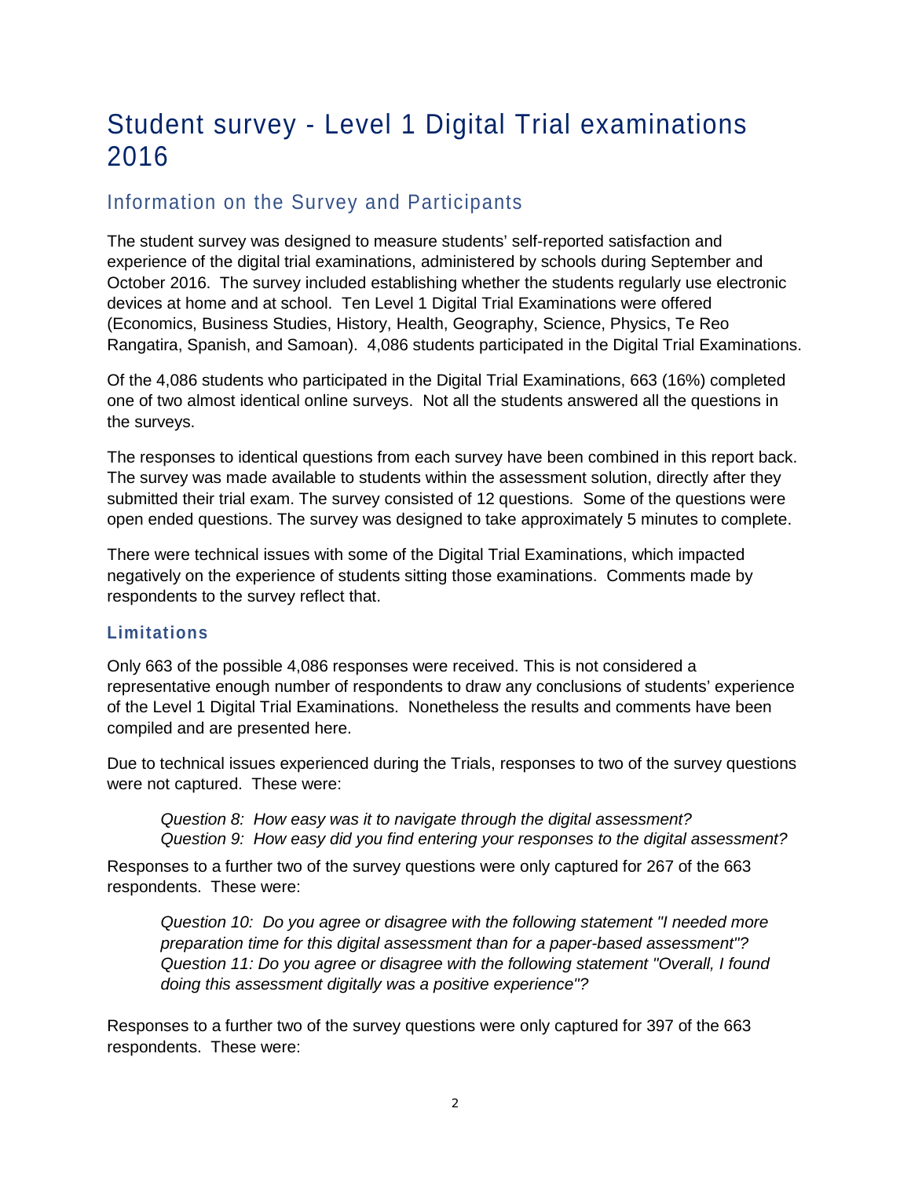# Student survey - Level 1 Digital Trial examinations 2016

# Information on the Survey and Participants

The student survey was designed to measure students' self-reported satisfaction and experience of the digital trial examinations, administered by schools during September and October 2016. The survey included establishing whether the students regularly use electronic devices at home and at school. Ten Level 1 Digital Trial Examinations were offered (Economics, Business Studies, History, Health, Geography, Science, Physics, Te Reo Rangatira, Spanish, and Samoan). 4,086 students participated in the Digital Trial Examinations.

Of the 4,086 students who participated in the Digital Trial Examinations, 663 (16%) completed one of two almost identical online surveys. Not all the students answered all the questions in the surveys.

The responses to identical questions from each survey have been combined in this report back. The survey was made available to students within the assessment solution, directly after they submitted their trial exam. The survey consisted of 12 questions. Some of the questions were open ended questions. The survey was designed to take approximately 5 minutes to complete.

There were technical issues with some of the Digital Trial Examinations, which impacted negatively on the experience of students sitting those examinations. Comments made by respondents to the survey reflect that.

#### **Limitations**

Only 663 of the possible 4,086 responses were received. This is not considered a representative enough number of respondents to draw any conclusions of students' experience of the Level 1 Digital Trial Examinations. Nonetheless the results and comments have been compiled and are presented here.

Due to technical issues experienced during the Trials, responses to two of the survey questions were not captured. These were:

*Question 8: How easy was it to navigate through the digital assessment? Question 9: How easy did you find entering your responses to the digital assessment?*

Responses to a further two of the survey questions were only captured for 267 of the 663 respondents. These were:

*Question 10: Do you agree or disagree with the following statement "I needed more preparation time for this digital assessment than for a paper-based assessment"? Question 11: Do you agree or disagree with the following statement "Overall, I found doing this assessment digitally was a positive experience"?*

Responses to a further two of the survey questions were only captured for 397 of the 663 respondents. These were: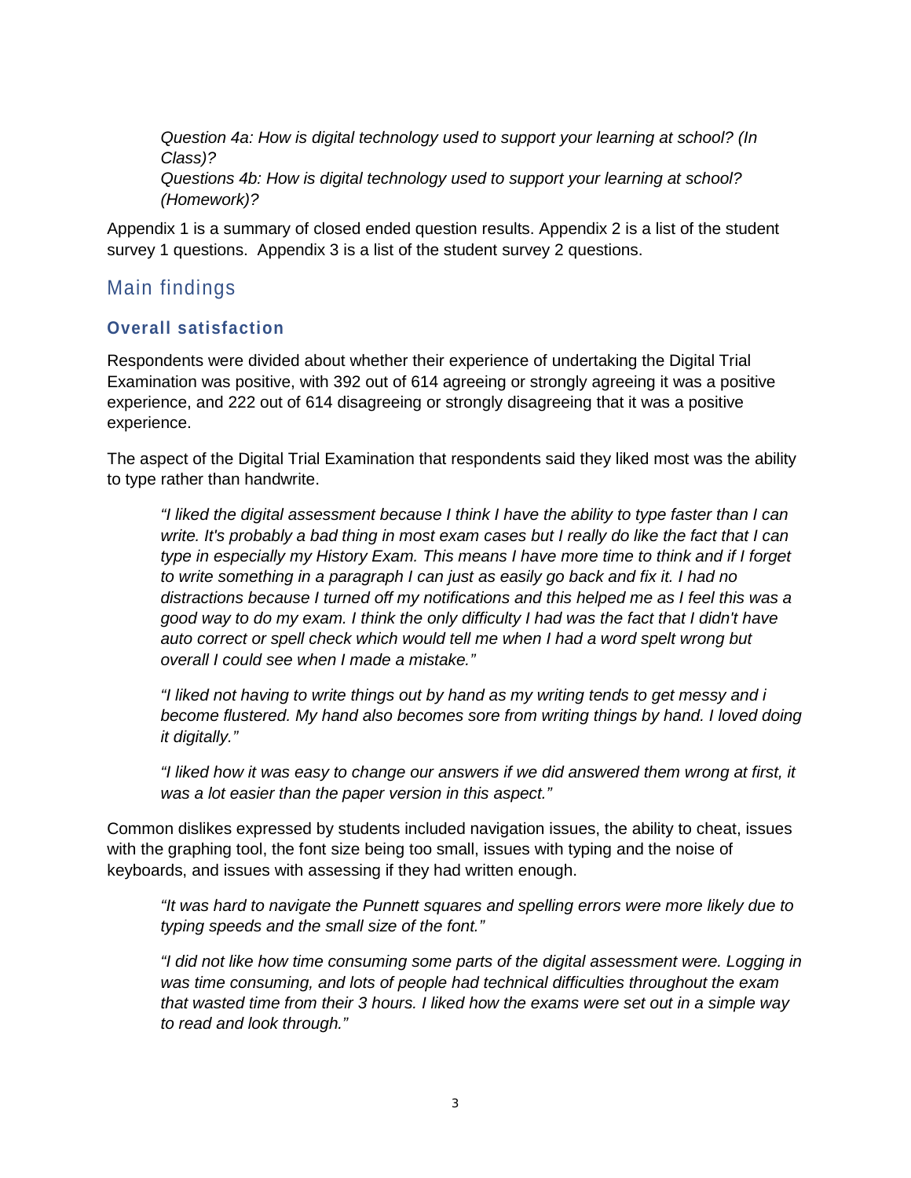*Question 4a: How is digital technology used to support your learning at school? (In Class)? Questions 4b: How is digital technology used to support your learning at school? (Homework)?*

Appendix 1 is a summary of closed ended question results. Appendix 2 is a list of the student survey 1 questions. Appendix 3 is a list of the student survey 2 questions.

## Main findings

### **Overall satisfaction**

Respondents were divided about whether their experience of undertaking the Digital Trial Examination was positive, with 392 out of 614 agreeing or strongly agreeing it was a positive experience, and 222 out of 614 disagreeing or strongly disagreeing that it was a positive experience.

The aspect of the Digital Trial Examination that respondents said they liked most was the ability to type rather than handwrite.

*"I liked the digital assessment because I think I have the ability to type faster than I can write. It's probably a bad thing in most exam cases but I really do like the fact that I can type in especially my History Exam. This means I have more time to think and if I forget to write something in a paragraph I can just as easily go back and fix it. I had no distractions because I turned off my notifications and this helped me as I feel this was a good way to do my exam. I think the only difficulty I had was the fact that I didn't have auto correct or spell check which would tell me when I had a word spelt wrong but overall I could see when I made a mistake."*

*"I liked not having to write things out by hand as my writing tends to get messy and i become flustered. My hand also becomes sore from writing things by hand. I loved doing it digitally."*

*"I liked how it was easy to change our answers if we did answered them wrong at first, it was a lot easier than the paper version in this aspect."*

Common dislikes expressed by students included navigation issues, the ability to cheat, issues with the graphing tool, the font size being too small, issues with typing and the noise of keyboards, and issues with assessing if they had written enough.

*"It was hard to navigate the Punnett squares and spelling errors were more likely due to typing speeds and the small size of the font."*

*"I did not like how time consuming some parts of the digital assessment were. Logging in was time consuming, and lots of people had technical difficulties throughout the exam that wasted time from their 3 hours. I liked how the exams were set out in a simple way to read and look through."*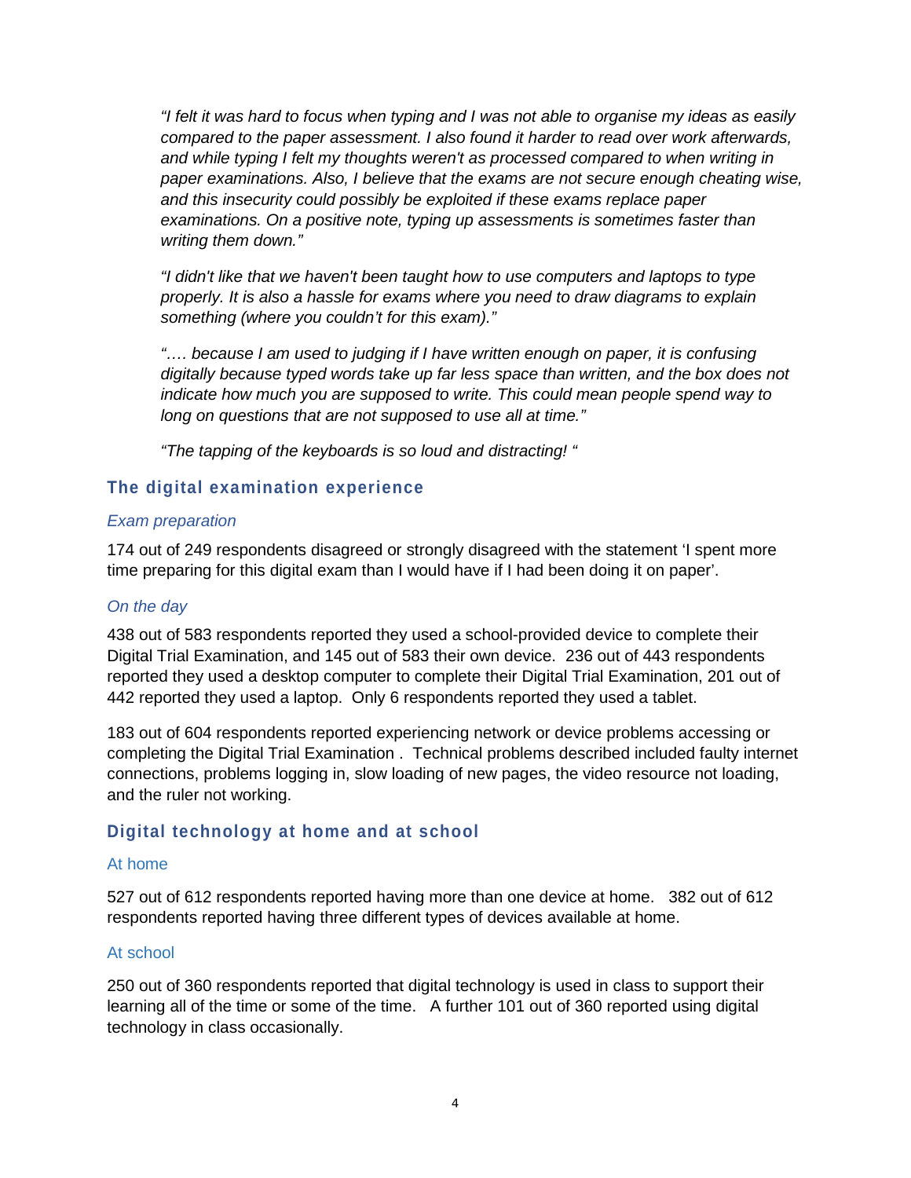*"I felt it was hard to focus when typing and I was not able to organise my ideas as easily compared to the paper assessment. I also found it harder to read over work afterwards, and while typing I felt my thoughts weren't as processed compared to when writing in paper examinations. Also, I believe that the exams are not secure enough cheating wise, and this insecurity could possibly be exploited if these exams replace paper examinations. On a positive note, typing up assessments is sometimes faster than writing them down."*

*"I didn't like that we haven't been taught how to use computers and laptops to type properly. It is also a hassle for exams where you need to draw diagrams to explain something (where you couldn't for this exam)."*

*"…. because I am used to judging if I have written enough on paper, it is confusing digitally because typed words take up far less space than written, and the box does not indicate how much you are supposed to write. This could mean people spend way to long on questions that are not supposed to use all at time."*

*"The tapping of the keyboards is so loud and distracting! "*

#### **The digital examination experience**

#### *Exam preparation*

174 out of 249 respondents disagreed or strongly disagreed with the statement 'I spent more time preparing for this digital exam than I would have if I had been doing it on paper'.

#### *On the day*

438 out of 583 respondents reported they used a school-provided device to complete their Digital Trial Examination, and 145 out of 583 their own device. 236 out of 443 respondents reported they used a desktop computer to complete their Digital Trial Examination, 201 out of 442 reported they used a laptop. Only 6 respondents reported they used a tablet.

183 out of 604 respondents reported experiencing network or device problems accessing or completing the Digital Trial Examination . Technical problems described included faulty internet connections, problems logging in, slow loading of new pages, the video resource not loading, and the ruler not working.

#### **Digital technology at home and at school**

#### At home

527 out of 612 respondents reported having more than one device at home. 382 out of 612 respondents reported having three different types of devices available at home.

#### At school

250 out of 360 respondents reported that digital technology is used in class to support their learning all of the time or some of the time. A further 101 out of 360 reported using digital technology in class occasionally.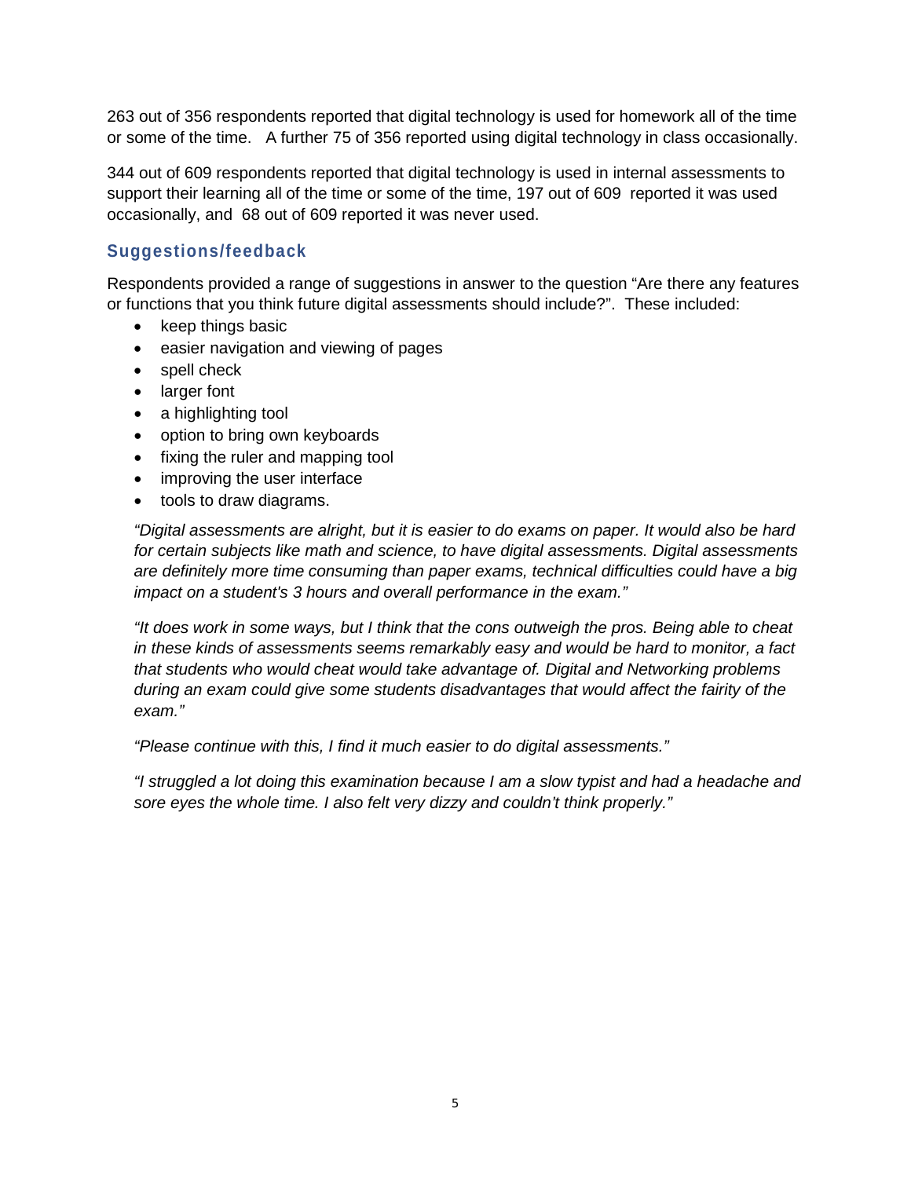263 out of 356 respondents reported that digital technology is used for homework all of the time or some of the time. A further 75 of 356 reported using digital technology in class occasionally.

344 out of 609 respondents reported that digital technology is used in internal assessments to support their learning all of the time or some of the time, 197 out of 609 reported it was used occasionally, and 68 out of 609 reported it was never used.

#### **Suggestions/feedback**

Respondents provided a range of suggestions in answer to the question "Are there any features or functions that you think future digital assessments should include?". These included:

- keep things basic
- easier navigation and viewing of pages
- spell check
- larger font
- a highlighting tool
- option to bring own keyboards
- fixing the ruler and mapping tool
- improving the user interface
- tools to draw diagrams.

*"Digital assessments are alright, but it is easier to do exams on paper. It would also be hard for certain subjects like math and science, to have digital assessments. Digital assessments are definitely more time consuming than paper exams, technical difficulties could have a big impact on a student's 3 hours and overall performance in the exam."*

*"It does work in some ways, but I think that the cons outweigh the pros. Being able to cheat in these kinds of assessments seems remarkably easy and would be hard to monitor, a fact that students who would cheat would take advantage of. Digital and Networking problems during an exam could give some students disadvantages that would affect the fairity of the exam."*

*"Please continue with this, I find it much easier to do digital assessments."*

*"I struggled a lot doing this examination because I am a slow typist and had a headache and sore eyes the whole time. I also felt very dizzy and couldn't think properly."*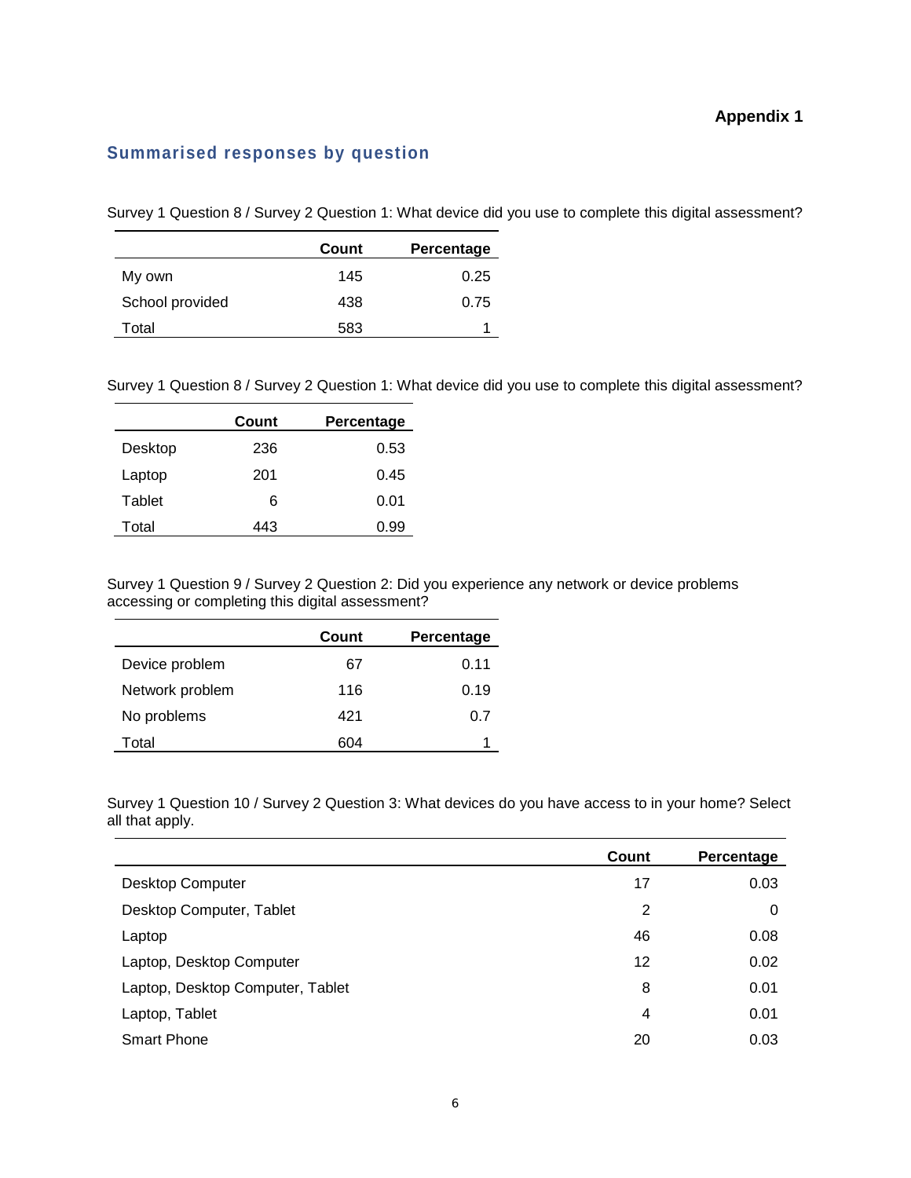#### **Appendix 1**

#### **Summarised responses by question**

Survey 1 Question 8 / Survey 2 Question 1: What device did you use to complete this digital assessment?

|                 | Count | Percentage |
|-----------------|-------|------------|
| My own          | 145   | 0.25       |
| School provided | 438   | 0.75       |
| Total           | 583   |            |

Survey 1 Question 8 / Survey 2 Question 1: What device did you use to complete this digital assessment?

|         | Count | Percentage |
|---------|-------|------------|
| Desktop | 236   | 0.53       |
| Laptop  | 201   | 0.45       |
| Tablet  | 6     | 0.01       |
| Total   | 443   | 0.99       |

Survey 1 Question 9 / Survey 2 Question 2: Did you experience any network or device problems accessing or completing this digital assessment?

|                 | Count | Percentage |
|-----------------|-------|------------|
| Device problem  | 67    | 0.11       |
| Network problem | 116   | 0.19       |
| No problems     | 421   | 0.7        |
| Total           | 604   |            |

Survey 1 Question 10 / Survey 2 Question 3: What devices do you have access to in your home? Select all that apply.

|                                  | Count | Percentage |
|----------------------------------|-------|------------|
| Desktop Computer                 | 17    | 0.03       |
| Desktop Computer, Tablet         | 2     | 0          |
| Laptop                           | 46    | 0.08       |
| Laptop, Desktop Computer         | 12    | 0.02       |
| Laptop, Desktop Computer, Tablet | 8     | 0.01       |
| Laptop, Tablet                   | 4     | 0.01       |
| <b>Smart Phone</b>               | 20    | 0.03       |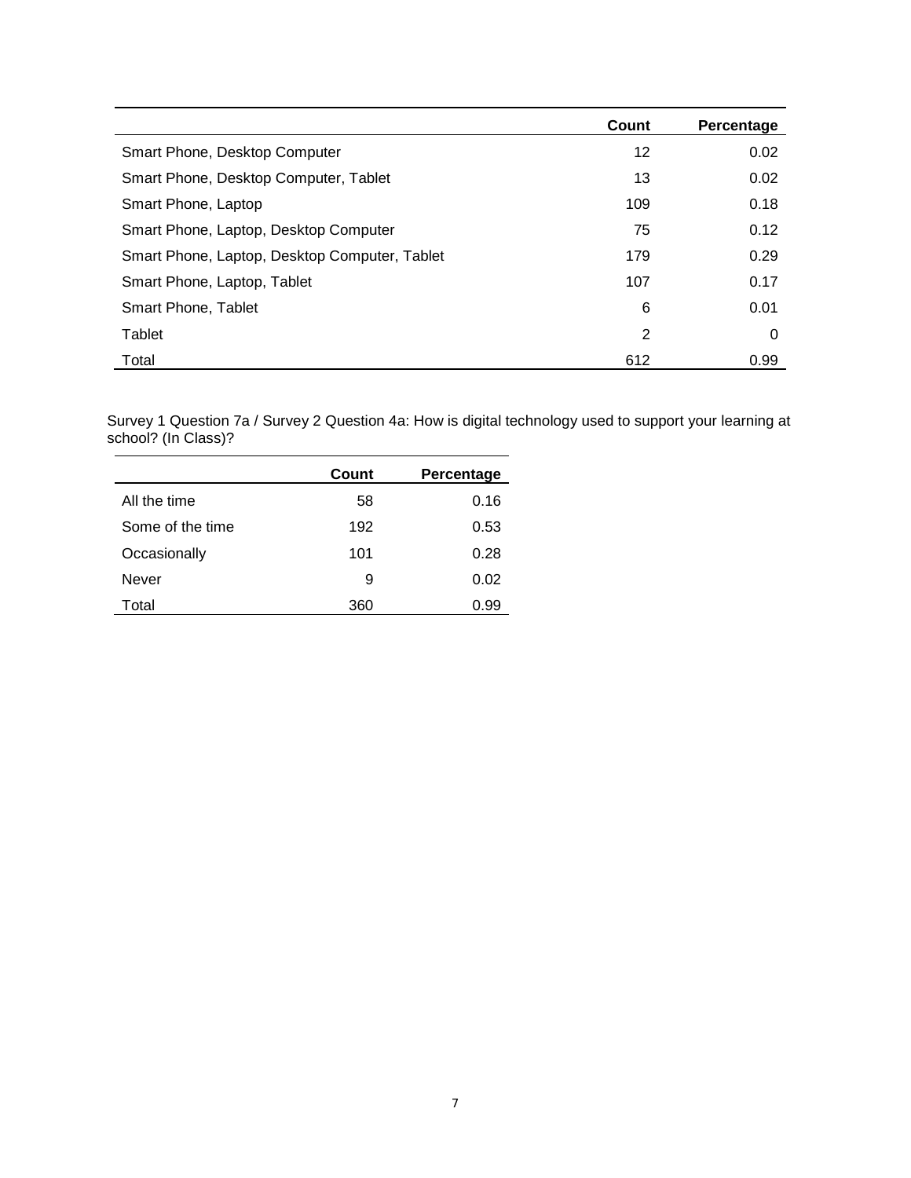|                                               | Count | Percentage |
|-----------------------------------------------|-------|------------|
| Smart Phone, Desktop Computer                 | 12    | 0.02       |
| Smart Phone, Desktop Computer, Tablet         | 13    | 0.02       |
| Smart Phone, Laptop                           | 109   | 0.18       |
| Smart Phone, Laptop, Desktop Computer         | 75    | 0.12       |
| Smart Phone, Laptop, Desktop Computer, Tablet | 179   | 0.29       |
| Smart Phone, Laptop, Tablet                   | 107   | 0.17       |
| Smart Phone, Tablet                           | 6     | 0.01       |
| Tablet                                        | 2     | 0          |
| Total                                         | 612   | 0.99       |

Survey 1 Question 7a / Survey 2 Question 4a: How is digital technology used to support your learning at school? (In Class)?

|                  | Count | Percentage |
|------------------|-------|------------|
| All the time     | 58    | 0.16       |
| Some of the time | 192   | 0.53       |
| Occasionally     | 101   | 0.28       |
| Never            | 9     | 0.02       |
| Total            | 360   | 0.99       |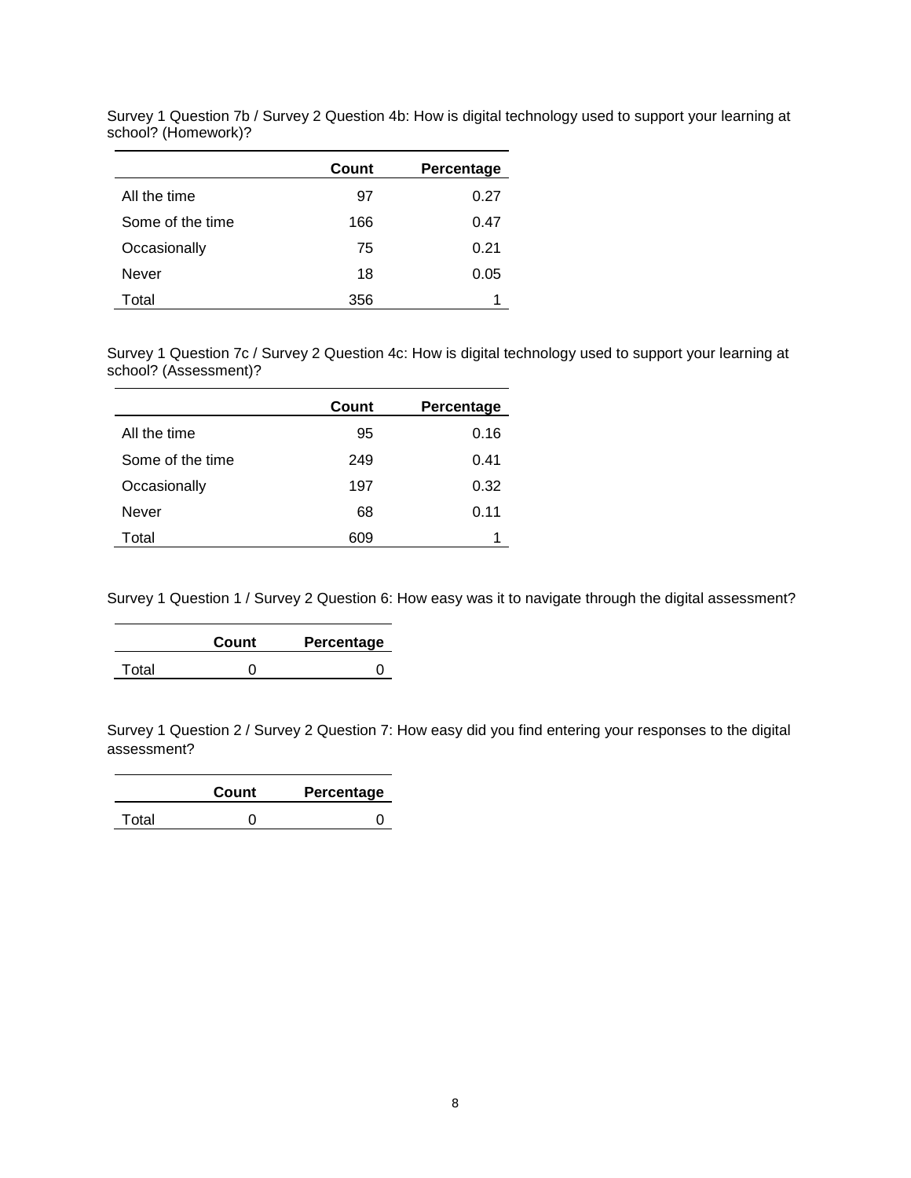|                  | Count | Percentage |
|------------------|-------|------------|
| All the time     | 97    | 0.27       |
| Some of the time | 166   | 0.47       |
| Occasionally     | 75    | 0.21       |
| Never            | 18    | 0.05       |
| Total            | 356   |            |

Survey 1 Question 7b / Survey 2 Question 4b: How is digital technology used to support your learning at school? (Homework)?

Survey 1 Question 7c / Survey 2 Question 4c: How is digital technology used to support your learning at school? (Assessment)?

<u> 1989 - Johann Barn, mars et al. (b. 1989)</u>

|                  | Count | Percentage |
|------------------|-------|------------|
| All the time     | 95    | 0.16       |
| Some of the time | 249   | 0.41       |
| Occasionally     | 197   | 0.32       |
| Never            | 68    | 0.11       |
| Total            | 609   |            |

Survey 1 Question 1 / Survey 2 Question 6: How easy was it to navigate through the digital assessment?

|       | Count | Percentage |
|-------|-------|------------|
| Total |       |            |

Survey 1 Question 2 / Survey 2 Question 7: How easy did you find entering your responses to the digital assessment?

|       | Count | Percentage |
|-------|-------|------------|
| Total |       |            |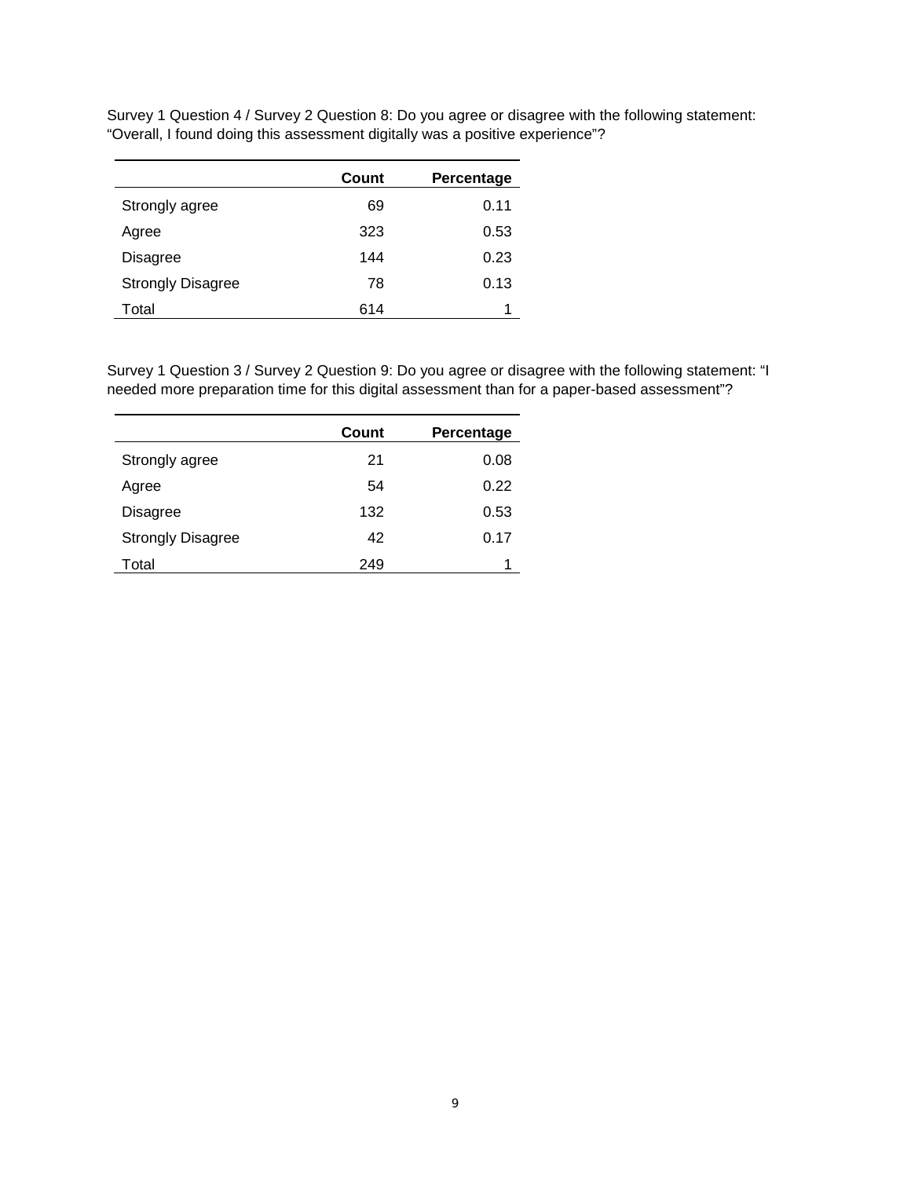Survey 1 Question 4 / Survey 2 Question 8: Do you agree or disagree with the following statement: "Overall, I found doing this assessment digitally was a positive experience"?

|                          | Count | Percentage |
|--------------------------|-------|------------|
| Strongly agree           | 69    | 0.11       |
| Agree                    | 323   | 0.53       |
| Disagree                 | 144   | 0.23       |
| <b>Strongly Disagree</b> | 78    | 0.13       |
| Total                    | 614   |            |

Survey 1 Question 3 / Survey 2 Question 9: Do you agree or disagree with the following statement: "I needed more preparation time for this digital assessment than for a paper-based assessment"?

|                          | Count | Percentage |
|--------------------------|-------|------------|
| Strongly agree           | 21    | 0.08       |
| Agree                    | 54    | 0.22       |
| Disagree                 | 132   | 0.53       |
| <b>Strongly Disagree</b> | 42    | 0.17       |
| Total                    | 249   |            |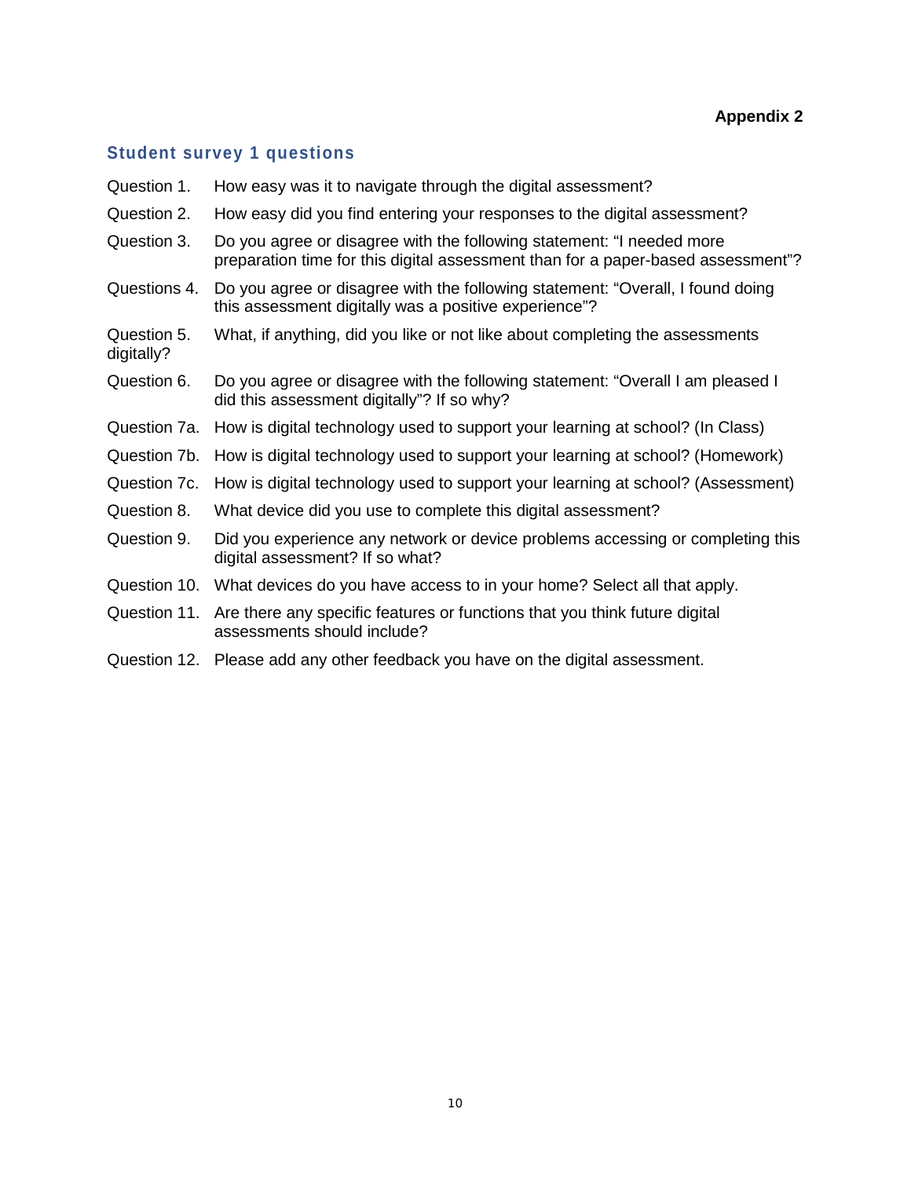#### **Student survey 1 questions**

- Question 1. How easy was it to navigate through the digital assessment?
- Question 2. How easy did you find entering your responses to the digital assessment?
- Question 3. Do you agree or disagree with the following statement: "I needed more preparation time for this digital assessment than for a paper-based assessment"?
- Questions 4. Do you agree or disagree with the following statement: "Overall, I found doing this assessment digitally was a positive experience"?
- Question 5. What, if anything, did you like or not like about completing the assessments digitally?
- Question 6. Do you agree or disagree with the following statement: "Overall I am pleased I did this assessment digitally"? If so why?
- Question 7a. How is digital technology used to support your learning at school? (In Class)
- Question 7b. How is digital technology used to support your learning at school? (Homework)
- Question 7c. How is digital technology used to support your learning at school? (Assessment)
- Question 8. What device did you use to complete this digital assessment?
- Question 9. Did you experience any network or device problems accessing or completing this digital assessment? If so what?
- Question 10. What devices do you have access to in your home? Select all that apply.
- Question 11. Are there any specific features or functions that you think future digital assessments should include?
- Question 12. Please add any other feedback you have on the digital assessment.